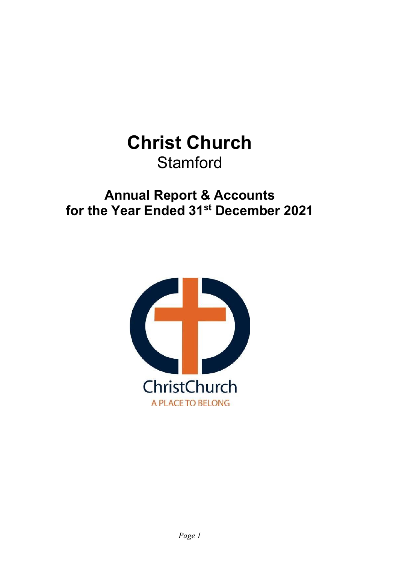# **Christ Church Stamford**

## **Annual Report & Accounts for the Year Ended 31st December 2021**

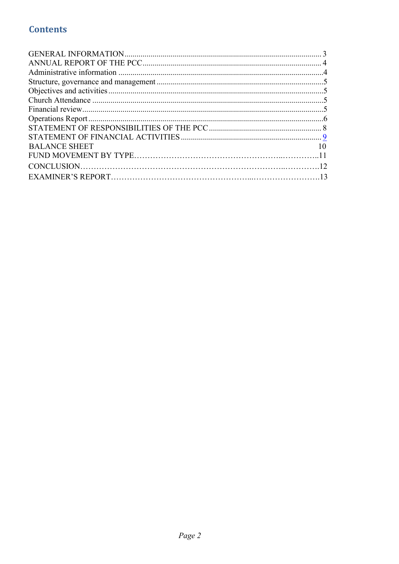## **Contents**

| <b>BALANCE SHEET</b> |  |
|----------------------|--|
|                      |  |
|                      |  |
|                      |  |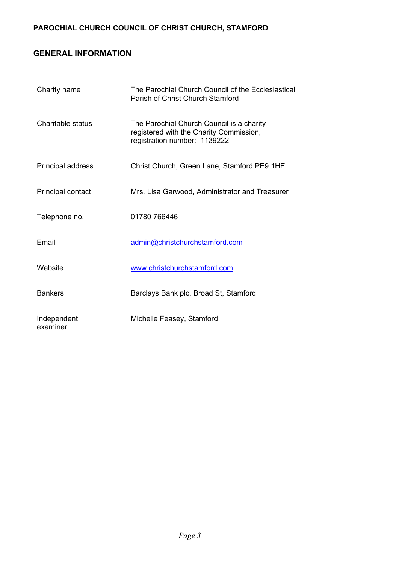## **PAROCHIAL CHURCH COUNCIL OF CHRIST CHURCH, STAMFORD**

## **GENERAL INFORMATION**

| Charity name            | The Parochial Church Council of the Ecclesiastical<br>Parish of Christ Church Stamford                               |
|-------------------------|----------------------------------------------------------------------------------------------------------------------|
| Charitable status       | The Parochial Church Council is a charity<br>registered with the Charity Commission,<br>registration number: 1139222 |
| Principal address       | Christ Church, Green Lane, Stamford PE9 1HE                                                                          |
| Principal contact       | Mrs. Lisa Garwood, Administrator and Treasurer                                                                       |
| Telephone no.           | 01780 766446                                                                                                         |
| Email                   | admin@christchurchstamford.com                                                                                       |
| Website                 | www.christchurchstamford.com                                                                                         |
| <b>Bankers</b>          | Barclays Bank plc, Broad St, Stamford                                                                                |
| Independent<br>examiner | Michelle Feasey, Stamford                                                                                            |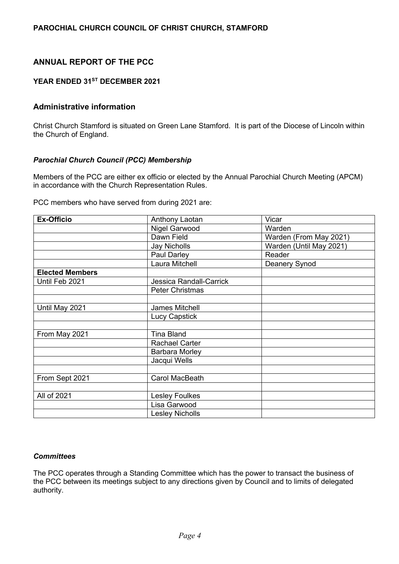## **ANNUAL REPORT OF THE PCC**

#### **YEAR ENDED 31ST DECEMBER 2021**

#### **Administrative information**

Christ Church Stamford is situated on Green Lane Stamford. It is part of the Diocese of Lincoln within the Church of England.

#### *Parochial Church Council (PCC) Membership*

Members of the PCC are either ex officio or elected by the Annual Parochial Church Meeting (APCM) in accordance with the Church Representation Rules.

PCC members who have served from during 2021 are:

| <b>Ex-Officio</b>      | Anthony Laotan                 | Vicar                   |  |  |
|------------------------|--------------------------------|-------------------------|--|--|
|                        | Nigel Garwood                  | Warden                  |  |  |
|                        | Dawn Field                     | Warden (From May 2021)  |  |  |
|                        | Jay Nicholls                   | Warden (Until May 2021) |  |  |
|                        | Paul Darley                    | Reader                  |  |  |
|                        | Laura Mitchell                 | Deanery Synod           |  |  |
| <b>Elected Members</b> |                                |                         |  |  |
| Until Feb 2021         | <b>Jessica Randall-Carrick</b> |                         |  |  |
|                        | <b>Peter Christmas</b>         |                         |  |  |
|                        |                                |                         |  |  |
| Until May 2021         | James Mitchell                 |                         |  |  |
|                        | <b>Lucy Capstick</b>           |                         |  |  |
|                        |                                |                         |  |  |
| From May 2021          | <b>Tina Bland</b>              |                         |  |  |
|                        | <b>Rachael Carter</b>          |                         |  |  |
|                        | Barbara Morley                 |                         |  |  |
|                        | Jacqui Wells                   |                         |  |  |
|                        |                                |                         |  |  |
| From Sept 2021         | Carol MacBeath                 |                         |  |  |
|                        |                                |                         |  |  |
| All of 2021            | Lesley Foulkes                 |                         |  |  |
|                        | Lisa Garwood                   |                         |  |  |
|                        | <b>Lesley Nicholls</b>         |                         |  |  |

#### *Committees*

The PCC operates through a Standing Committee which has the power to transact the business of the PCC between its meetings subject to any directions given by Council and to limits of delegated authority.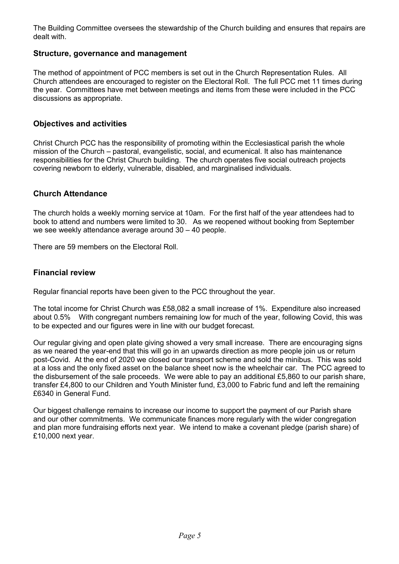The Building Committee oversees the stewardship of the Church building and ensures that repairs are dealt with.

#### **Structure, governance and management**

The method of appointment of PCC members is set out in the Church Representation Rules. All Church attendees are encouraged to register on the Electoral Roll. The full PCC met 11 times during the year. Committees have met between meetings and items from these were included in the PCC discussions as appropriate.

#### **Objectives and activities**

Christ Church PCC has the responsibility of promoting within the Ecclesiastical parish the whole mission of the Church – pastoral, evangelistic, social, and ecumenical. It also has maintenance responsibilities for the Christ Church building. The church operates five social outreach projects covering newborn to elderly, vulnerable, disabled, and marginalised individuals.

#### **Church Attendance**

The church holds a weekly morning service at 10am. For the first half of the year attendees had to book to attend and numbers were limited to 30. As we reopened without booking from September we see weekly attendance average around 30 – 40 people.

There are 59 members on the Electoral Roll.

#### **Financial review**

Regular financial reports have been given to the PCC throughout the year.

The total income for Christ Church was £58,082 a small increase of 1%. Expenditure also increased about 0.5% With congregant numbers remaining low for much of the year, following Covid, this was to be expected and our figures were in line with our budget forecast.

Our regular giving and open plate giving showed a very small increase. There are encouraging signs as we neared the year-end that this will go in an upwards direction as more people join us or return post-Covid. At the end of 2020 we closed our transport scheme and sold the minibus. This was sold at a loss and the only fixed asset on the balance sheet now is the wheelchair car. The PCC agreed to the disbursement of the sale proceeds. We were able to pay an additional £5,860 to our parish share, transfer £4,800 to our Children and Youth Minister fund, £3,000 to Fabric fund and left the remaining £6340 in General Fund.

Our biggest challenge remains to increase our income to support the payment of our Parish share and our other commitments. We communicate finances more regularly with the wider congregation and plan more fundraising efforts next year. We intend to make a covenant pledge (parish share) of £10,000 next year.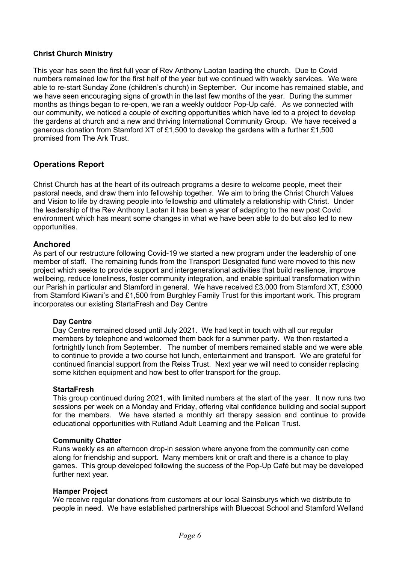#### **Christ Church Ministry**

This year has seen the first full year of Rev Anthony Laotan leading the church. Due to Covid numbers remained low for the first half of the year but we continued with weekly services. We were able to re-start Sunday Zone (children's church) in September. Our income has remained stable, and we have seen encouraging signs of growth in the last few months of the year. During the summer months as things began to re-open, we ran a weekly outdoor Pop-Up café. As we connected with our community, we noticed a couple of exciting opportunities which have led to a project to develop the gardens at church and a new and thriving International Community Group. We have received a generous donation from Stamford XT of £1,500 to develop the gardens with a further £1,500 promised from The Ark Trust.

#### **Operations Report**

Christ Church has at the heart of its outreach programs a desire to welcome people, meet their pastoral needs, and draw them into fellowship together. We aim to bring the Christ Church Values and Vision to life by drawing people into fellowship and ultimately a relationship with Christ. Under the leadership of the Rev Anthony Laotan it has been a year of adapting to the new post Covid environment which has meant some changes in what we have been able to do but also led to new opportunities.

#### **Anchored**

As part of our restructure following Covid-19 we started a new program under the leadership of one member of staff. The remaining funds from the Transport Designated fund were moved to this new project which seeks to provide support and intergenerational activities that build resilience, improve wellbeing, reduce loneliness, foster community integration, and enable spiritual transformation within our Parish in particular and Stamford in general. We have received £3,000 from Stamford XT, £3000 from Stamford Kiwani's and £1,500 from Burghley Family Trust for this important work. This program incorporates our existing StartaFresh and Day Centre

#### **Day Centre**

Day Centre remained closed until July 2021. We had kept in touch with all our regular members by telephone and welcomed them back for a summer party. We then restarted a fortnightly lunch from September. The number of members remained stable and we were able to continue to provide a two course hot lunch, entertainment and transport. We are grateful for continued financial support from the Reiss Trust. Next year we will need to consider replacing some kitchen equipment and how best to offer transport for the group.

#### **StartaFresh**

This group continued during 2021, with limited numbers at the start of the year. It now runs two sessions per week on a Monday and Friday, offering vital confidence building and social support for the members. We have started a monthly art therapy session and continue to provide educational opportunities with Rutland Adult Learning and the Pelican Trust.

#### **Community Chatter**

Runs weekly as an afternoon drop-in session where anyone from the community can come along for friendship and support. Many members knit or craft and there is a chance to play games. This group developed following the success of the Pop-Up Café but may be developed further next year.

#### **Hamper Project**

We receive regular donations from customers at our local Sainsburys which we distribute to people in need. We have established partnerships with Bluecoat School and Stamford Welland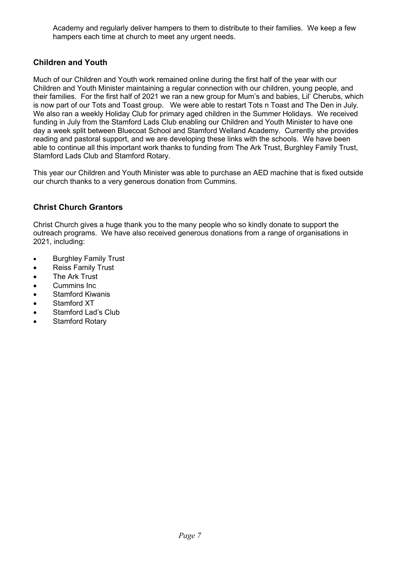Academy and regularly deliver hampers to them to distribute to their families. We keep a few hampers each time at church to meet any urgent needs.

## **Children and Youth**

Much of our Children and Youth work remained online during the first half of the year with our Children and Youth Minister maintaining a regular connection with our children, young people, and their families. For the first half of 2021 we ran a new group for Mum's and babies, Lil' Cherubs, which is now part of our Tots and Toast group. We were able to restart Tots n Toast and The Den in July. We also ran a weekly Holiday Club for primary aged children in the Summer Holidays. We received funding in July from the Stamford Lads Club enabling our Children and Youth Minister to have one day a week split between Bluecoat School and Stamford Welland Academy. Currently she provides reading and pastoral support, and we are developing these links with the schools. We have been able to continue all this important work thanks to funding from The Ark Trust, Burghley Family Trust, Stamford Lads Club and Stamford Rotary.

This year our Children and Youth Minister was able to purchase an AED machine that is fixed outside our church thanks to a very generous donation from Cummins.

## **Christ Church Grantors**

Christ Church gives a huge thank you to the many people who so kindly donate to support the outreach programs. We have also received generous donations from a range of organisations in 2021, including:

- Burghley Family Trust
- Reiss Family Trust
- The Ark Trust
- Cummins Inc
- Stamford Kiwanis
- Stamford XT
- Stamford Lad's Club
- Stamford Rotary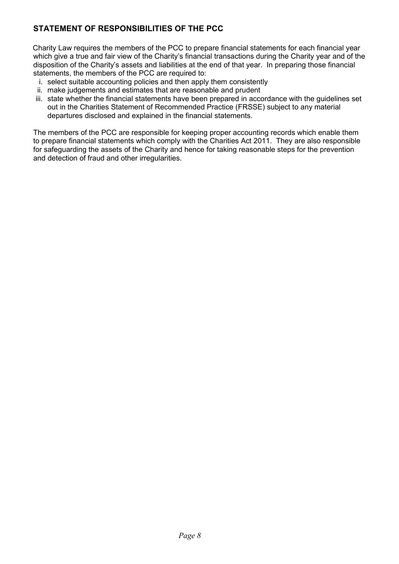## **STATEMENT OF RESPONSIBILITIES OF THE PCC**

Charity Law requires the members of the PCC to prepare financial statements for each financial year which give a true and fair view of the Charity's financial transactions during the Charity year and of the disposition of the Charity's assets and liabilities at the end of that year. In preparing those financial statements, the members of the PCC are required to:

- i. select suitable accounting policies and then apply them consistently
- ii. make judgements and estimates that are reasonable and prudent
- iii. state whether the financial statements have been prepared in accordance with the guidelines set out in the Charities Statement of Recommended Practice (FRSSE) subject to any material departures disclosed and explained in the financial statements.

The members of the PCC are responsible for keeping proper accounting records which enable them to prepare financial statements which comply with the Charities Act 2011. They are also responsible for safeguarding the assets of the Charity and hence for taking reasonable steps for the prevention and detection of fraud and other irregularities.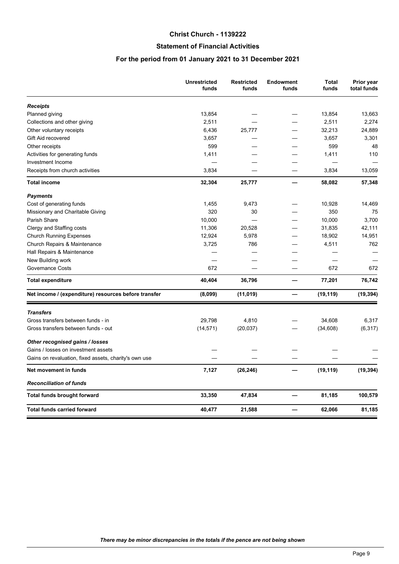#### **Christ Church - 1139222**

#### **Statement of Financial Activities**

#### **For the period from 01 January 2021 to 31 December 2021**

|                                                       | <b>Unrestricted</b><br>funds | <b>Restricted</b><br>funds | <b>Endowment</b><br>funds | <b>Total</b><br>funds | Prior year<br>total funds |
|-------------------------------------------------------|------------------------------|----------------------------|---------------------------|-----------------------|---------------------------|
| <b>Receipts</b>                                       |                              |                            |                           |                       |                           |
| Planned giving                                        | 13,854                       |                            |                           | 13,854                | 13,663                    |
| Collections and other giving                          | 2,511                        |                            |                           | 2,511                 | 2,274                     |
| Other voluntary receipts                              | 6,436                        | 25,777                     |                           | 32,213                | 24,889                    |
| Gift Aid recovered                                    | 3,657                        |                            |                           | 3,657                 | 3,301                     |
| Other receipts                                        | 599                          |                            |                           | 599                   | 48                        |
| Activities for generating funds                       | 1,411                        |                            |                           | 1,411                 | 110                       |
| Investment Income                                     |                              |                            |                           |                       |                           |
| Receipts from church activities                       | 3,834                        |                            |                           | 3,834                 | 13,059                    |
| <b>Total income</b>                                   | 32,304                       | 25,777                     |                           | 58,082                | 57,348                    |
| <b>Payments</b>                                       |                              |                            |                           |                       |                           |
| Cost of generating funds                              | 1,455                        | 9,473                      |                           | 10,928                | 14,469                    |
| Missionary and Charitable Giving                      | 320                          | 30                         |                           | 350                   | 75                        |
| Parish Share                                          | 10,000                       |                            |                           | 10,000                | 3,700                     |
| Clergy and Staffing costs                             | 11,306                       | 20,528                     |                           | 31,835                | 42,111                    |
| <b>Church Running Expenses</b>                        | 12,924                       | 5,978                      |                           | 18,902                | 14,951                    |
| Church Repairs & Maintenance                          | 3,725                        | 786                        |                           | 4,511                 | 762                       |
| Hall Repairs & Maintenance                            |                              |                            |                           |                       |                           |
| New Building work                                     |                              |                            |                           |                       |                           |
| Governance Costs                                      | 672                          |                            |                           | 672                   | 672                       |
| <b>Total expenditure</b>                              | 40,404                       | 36,796                     | —                         | 77,201                | 76,742                    |
| Net income / (expenditure) resources before transfer  | (8,099)                      | (11, 019)                  |                           | (19, 119)             | (19, 394)                 |
| <b>Transfers</b>                                      |                              |                            |                           |                       |                           |
| Gross transfers between funds - in                    | 29,798                       | 4,810                      |                           | 34,608                | 6,317                     |
| Gross transfers between funds - out                   | (14, 571)                    | (20, 037)                  |                           | (34, 608)             | (6, 317)                  |
| Other recognised gains / losses                       |                              |                            |                           |                       |                           |
| Gains / losses on investment assets                   |                              |                            |                           |                       |                           |
| Gains on revaluation, fixed assets, charity's own use |                              |                            |                           |                       |                           |
| Net movement in funds                                 | 7,127                        | (26, 246)                  |                           | (19, 119)             | (19, 394)                 |
| <b>Reconciliation of funds</b>                        |                              |                            |                           |                       |                           |
| Total funds brought forward                           | 33,350                       | 47,834                     |                           | 81,185                | 100,579                   |
| Total funds carried forward                           | 40,477                       | 21,588                     |                           | 62,066                | 81,185                    |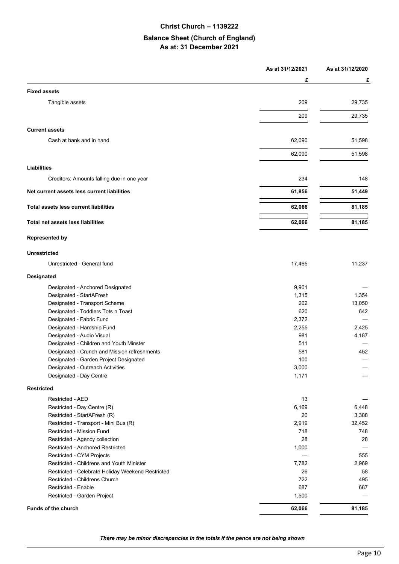#### **Christ Church – 1139222**

#### **Balance Sheet (Church of England) As at: 31 December 2021**

|                                                   | As at 31/12/2021 | As at 31/12/2020 |
|---------------------------------------------------|------------------|------------------|
|                                                   | £                | £                |
| <b>Fixed assets</b>                               |                  |                  |
| Tangible assets                                   | 209              | 29,735           |
|                                                   | 209              | 29,735           |
|                                                   |                  |                  |
| <b>Current assets</b>                             |                  |                  |
| Cash at bank and in hand                          | 62,090           | 51,598           |
|                                                   | 62,090           | 51,598           |
| <b>Liabilities</b>                                |                  |                  |
| Creditors: Amounts falling due in one year        | 234              | 148              |
| Net current assets less current liabilities       | 61,856           | 51,449           |
|                                                   |                  |                  |
| <b>Total assets less current liabilities</b>      | 62,066           | 81,185           |
| Total net assets less liabilities                 | 62,066           | 81,185           |
| <b>Represented by</b>                             |                  |                  |
| <b>Unrestricted</b>                               |                  |                  |
| Unrestricted - General fund                       | 17,465           | 11,237           |
| <b>Designated</b>                                 |                  |                  |
| Designated - Anchored Designated                  | 9,901            |                  |
| Designated - StartAFresh                          | 1,315            | 1,354            |
| Designated - Transport Scheme                     | 202              | 13,050           |
| Designated - Toddlers Tots n Toast                | 620              | 642              |
| Designated - Fabric Fund                          | 2,372            |                  |
| Designated - Hardship Fund                        | 2,255            | 2,425            |
| Designated - Audio Visual                         | 981              | 4,187            |
| Designated - Children and Youth Minster           | 511              |                  |
| Designated - Crunch and Mission refreshments      | 581              | 452              |
| Designated - Garden Project Designated            | 100              |                  |
| Designated - Outreach Activities                  | 3,000            |                  |
| Designated - Day Centre                           | 1,171            |                  |
| <b>Restricted</b>                                 |                  |                  |
| Restricted - AED                                  | 13               |                  |
| Restricted - Day Centre (R)                       | 6,169            | 6,448            |
| Restricted - StartAFresh (R)                      | 20               | 3,388            |
| Restricted - Transport - Mini Bus (R)             | 2,919            | 32,452           |
| Restricted - Mission Fund                         | 718              | 748              |
| Restricted - Agency collection                    | 28               | 28               |
| Restricted - Anchored Restricted                  | 1,000            |                  |
| Restricted - CYM Projects                         |                  | 555              |
| Restricted - Childrens and Youth Minister         | 7,782            | 2,969            |
| Restricted - Celebrate Holiday Weekend Restricted | 26               | 58               |
| Restricted - Childrens Church                     | 722              | 495              |
| Restricted - Enable                               | 687              | 687              |
| Restricted - Garden Project                       | 1,500            |                  |
| Funds of the church                               | 62,066           | 81,185           |

*There may be minor discrepancies in the totals if the pence are not being shown*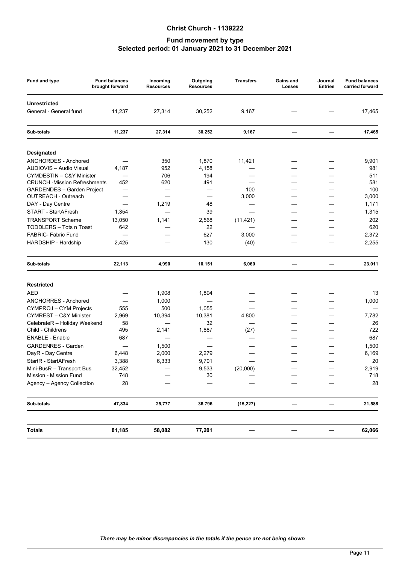#### Christ Church - 1139222

#### Fund movement by type Selected period: 01 January 2021 to 31 December 2021

| <b>Fund and type</b>                | <b>Fund balances</b><br>brought forward | Incoming<br><b>Resources</b> | Outgoing<br><b>Resources</b> | <b>Transfers</b> | Gains and<br><b>Losses</b> | Journal<br><b>Entries</b> | <b>Fund balances</b><br>carried forward |
|-------------------------------------|-----------------------------------------|------------------------------|------------------------------|------------------|----------------------------|---------------------------|-----------------------------------------|
| <b>Unrestricted</b>                 |                                         |                              |                              |                  |                            |                           |                                         |
| General - General fund              | 11,237                                  | 27,314                       | 30,252                       | 9,167            |                            |                           | 17,465                                  |
| Sub-totals                          | 11,237                                  | 27,314                       | 30,252                       | 9,167            | —                          |                           | 17,465                                  |
| <b>Designated</b>                   |                                         |                              |                              |                  |                            |                           |                                         |
| ANCHORDES - Anchored                |                                         | 350                          | 1,870                        | 11,421           |                            |                           | 9,901                                   |
| AUDIOVIS - Audio Visual             | 4,187                                   | 952                          | 4,158                        |                  |                            |                           | 981                                     |
| CYMDESTIN - C&Y Minister            |                                         | 706                          | 194                          |                  |                            |                           | 511                                     |
| <b>CRUNCH -Mission Refreshments</b> | 452                                     | 620                          | 491                          |                  |                            |                           | 581                                     |
| <b>GARDENDES - Garden Project</b>   |                                         |                              |                              | 100              |                            |                           | 100                                     |
| OUTREACH - Outreach                 |                                         | $\overline{\phantom{0}}$     |                              | 3,000            |                            |                           | 3,000                                   |
| DAY - Day Centre                    | $\overline{\phantom{0}}$                | 1,219                        | 48                           |                  |                            | $\overline{\phantom{0}}$  | 1,171                                   |
| <b>START - StartAFresh</b>          | 1,354                                   |                              | 39                           |                  |                            |                           | 1,315                                   |
| <b>TRANSPORT Scheme</b>             | 13,050                                  | 1,141                        | 2,568                        | (11, 421)        |                            |                           | 202                                     |
| TODDLERS - Tots n Toast             | 642                                     |                              | 22                           |                  |                            |                           | 620                                     |
| <b>FABRIC- Fabric Fund</b>          |                                         |                              | 627                          | 3,000            |                            |                           | 2,372                                   |
|                                     |                                         |                              |                              |                  |                            |                           |                                         |
| HARDSHIP - Hardship                 | 2,425                                   |                              | 130                          | (40)             |                            |                           | 2,255                                   |
| Sub-totals                          | 22,113                                  | 4,990                        | 10,151                       | 6,060            | —                          | $\overline{\phantom{0}}$  | 23,011                                  |
| <b>Restricted</b>                   |                                         |                              |                              |                  |                            |                           |                                         |
| <b>AED</b>                          |                                         |                              |                              |                  |                            |                           | 13                                      |
|                                     |                                         | 1,908                        | 1,894                        |                  |                            |                           |                                         |
| <b>ANCHORRES - Anchored</b>         |                                         | 1,000                        |                              |                  |                            |                           | 1,000                                   |
| CYMPROJ - CYM Projects              | 555                                     | 500                          | 1,055                        |                  |                            |                           |                                         |
| CYMREST - C&Y Minister              | 2,969                                   | 10,394                       | 10,381                       | 4,800            |                            |                           | 7,782                                   |
| CelebrateR - Holiday Weekend        | 58                                      |                              | 32                           |                  |                            |                           | 26                                      |
| Child - Childrens                   | 495                                     | 2,141                        | 1,887                        | (27)             |                            |                           | 722                                     |
| <b>ENABLE - Enable</b>              | 687                                     | $\overline{\phantom{0}}$     |                              |                  |                            |                           | 687                                     |
| <b>GARDENRES - Garden</b>           |                                         | 1,500                        |                              |                  |                            |                           | 1,500                                   |
| DayR - Day Centre                   | 6,448                                   | 2,000                        | 2,279                        |                  |                            |                           | 6,169                                   |
| StartR - StartAFresh                | 3,388                                   | 6,333                        | 9,701                        |                  |                            |                           | 20                                      |
| Mini-BusR - Transport Bus           | 32,452                                  |                              | 9,533                        | (20,000)         | $\overline{\phantom{0}}$   |                           | 2,919                                   |
| Mission - Mission Fund              | 748                                     |                              | 30                           |                  |                            |                           | 718                                     |
| Agency - Agency Collection          | 28                                      |                              |                              |                  |                            |                           | 28                                      |
| Sub-totals                          | 47,834                                  | 25,777                       | 36,796                       | (15, 227)        |                            |                           | 21,588                                  |
|                                     |                                         |                              |                              |                  |                            |                           |                                         |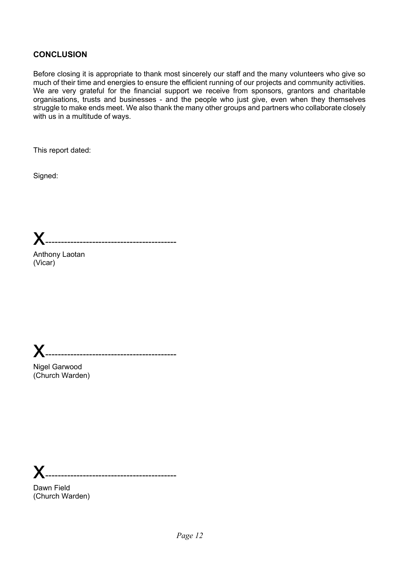## **CONCLUSION**

Before closing it is appropriate to thank most sincerely our staff and the many volunteers who give so much of their time and energies to ensure the efficient running of our projects and community activities. We are very grateful for the financial support we receive from sponsors, grantors and charitable organisations, trusts and businesses - and the people who just give, even when they themselves struggle to make ends meet. We also thank the many other groups and partners who collaborate closely with us in a multitude of ways.

This report dated:

Signed:

x------------------------------------------

x------------------------------------------

Anthony Laotan (Vicar)

Nigel Garwood (Church Warden)

x------------------------------------------

Dawn Field (Church Warden)